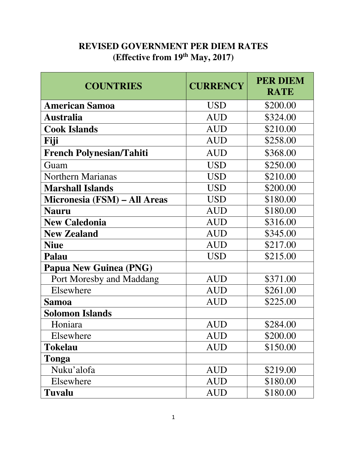## **REVISED GOVERNMENT PER DIEM RATES (Effective from 19th May, 2017)**

| <b>COUNTRIES</b>                | <b>CURRENCY</b>             | <b>PER DIEM</b><br><b>RATE</b> |
|---------------------------------|-----------------------------|--------------------------------|
| <b>American Samoa</b>           | <b>USD</b>                  | \$200.00                       |
| Australia                       | <b>AUD</b>                  | \$324.00                       |
| <b>Cook Islands</b>             | <b>AUD</b>                  | \$210.00                       |
| Fiji                            | <b>AUD</b>                  | \$258.00                       |
| <b>French Polynesian/Tahiti</b> | <b>AUD</b>                  | \$368.00                       |
| Guam                            | <b>USD</b>                  | \$250.00                       |
| <b>Northern Marianas</b>        | <b>USD</b>                  | \$210.00                       |
| <b>Marshall Islands</b>         | <b>USD</b>                  | \$200.00                       |
| Micronesia (FSM) – All Areas    | <b>USD</b>                  | \$180.00                       |
| <b>Nauru</b>                    | <b>AUD</b>                  | \$180.00                       |
| <b>New Caledonia</b>            | <b>AUD</b>                  | \$316.00                       |
| <b>New Zealand</b>              | <b>AUD</b>                  | \$345.00                       |
| <b>Niue</b>                     | <b>AUD</b>                  | \$217.00                       |
| Palau                           | <b>USD</b>                  | \$215.00                       |
| <b>Papua New Guinea (PNG)</b>   |                             |                                |
| Port Moresby and Maddang        | <b>AUD</b>                  | \$371.00                       |
| Elsewhere                       | <b>AUD</b>                  | \$261.00                       |
| <b>Samoa</b>                    | <b>AUD</b>                  | \$225.00                       |
| <b>Solomon Islands</b>          |                             |                                |
| Honiara                         | $\mathop{\rm AUD}\nolimits$ | \$284.00                       |
| Elsewhere                       | <b>AUD</b>                  | \$200.00                       |
| <b>Tokelau</b>                  | <b>AUD</b>                  | \$150.00                       |
| Tonga                           |                             |                                |
| Nuku'alofa                      | <b>AUD</b>                  | \$219.00                       |
| Elsewhere                       | <b>AUD</b>                  | \$180.00                       |
| <b>Tuvalu</b>                   | AUD                         | \$180.00                       |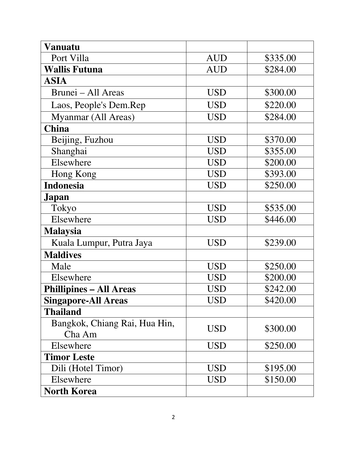| <b>Vanuatu</b>                          |            |          |
|-----------------------------------------|------------|----------|
| Port Villa                              | <b>AUD</b> | \$335.00 |
| <b>Wallis Futuna</b>                    | <b>AUD</b> | \$284.00 |
| ASIA                                    |            |          |
| Brunei – All Areas                      | <b>USD</b> | \$300.00 |
| Laos, People's Dem.Rep                  | <b>USD</b> | \$220.00 |
| Myanmar (All Areas)                     | <b>USD</b> | \$284.00 |
| <b>China</b>                            |            |          |
| Beijing, Fuzhou                         | <b>USD</b> | \$370.00 |
| Shanghai                                | <b>USD</b> | \$355.00 |
| Elsewhere                               | <b>USD</b> | \$200.00 |
| Hong Kong                               | <b>USD</b> | \$393.00 |
| <b>Indonesia</b>                        | <b>USD</b> | \$250.00 |
| Japan                                   |            |          |
| Tokyo                                   | <b>USD</b> | \$535.00 |
| Elsewhere                               | <b>USD</b> | \$446.00 |
| <b>Malaysia</b>                         |            |          |
| Kuala Lumpur, Putra Jaya                | <b>USD</b> | \$239.00 |
| <b>Maldives</b>                         |            |          |
| Male                                    | <b>USD</b> | \$250.00 |
| Elsewhere                               | <b>USD</b> | \$200.00 |
| <b>Phillipines – All Areas</b>          | USD        | \$242.00 |
| <b>Singapore-All Areas</b>              | <b>USD</b> | \$420.00 |
| <b>Thailand</b>                         |            |          |
| Bangkok, Chiang Rai, Hua Hin,<br>Cha Am | USD        | \$300.00 |
| Elsewhere                               | <b>USD</b> | \$250.00 |
| <b>Timor Leste</b>                      |            |          |
| Dili (Hotel Timor)                      | <b>USD</b> | \$195.00 |
| Elsewhere                               | USD        | \$150.00 |
| <b>North Korea</b>                      |            |          |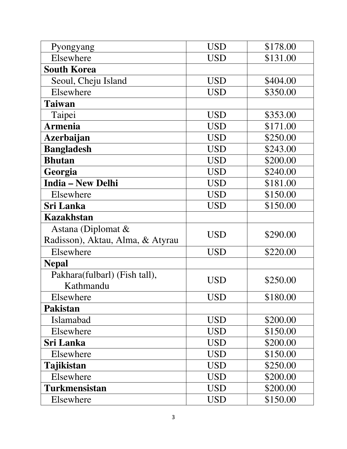| Pyongyang                        | <b>USD</b> | \$178.00 |
|----------------------------------|------------|----------|
| Elsewhere                        | USD        | \$131.00 |
| <b>South Korea</b>               |            |          |
| Seoul, Cheju Island              | <b>USD</b> | \$404.00 |
| Elsewhere                        | USD        | \$350.00 |
| <b>Taiwan</b>                    |            |          |
| Taipei                           | <b>USD</b> | \$353.00 |
| <b>Armenia</b>                   | <b>USD</b> | \$171.00 |
| <b>Azerbaijan</b>                | <b>USD</b> | \$250.00 |
| <b>Bangladesh</b>                | <b>USD</b> | \$243.00 |
| <b>Bhutan</b>                    | <b>USD</b> | \$200.00 |
| Georgia                          | <b>USD</b> | \$240.00 |
| <b>India - New Delhi</b>         | <b>USD</b> | \$181.00 |
| Elsewhere                        | <b>USD</b> | \$150.00 |
| <b>Sri Lanka</b>                 | <b>USD</b> | \$150.00 |
| <b>Kazakhstan</b>                |            |          |
| Astana (Diplomat $\&$            | USD        | \$290.00 |
| Radisson), Aktau, Alma, & Atyrau |            |          |
| Elsewhere                        | <b>USD</b> | \$220.00 |
| <b>Nepal</b>                     |            |          |
| Pakhara(fulbarl) (Fish tall),    | <b>USD</b> | \$250.00 |
| Kathmandu                        |            |          |
| Elsewhere                        | <b>USD</b> | \$180.00 |
| <b>Pakistan</b>                  |            |          |
| Islamabad                        | <b>USD</b> | \$200.00 |
| Elsewhere                        | <b>USD</b> | \$150.00 |
| <b>Sri Lanka</b>                 | <b>USD</b> | \$200.00 |
| Elsewhere                        | USD        | \$150.00 |
| Tajikistan                       | <b>USD</b> | \$250.00 |
| Elsewhere                        | <b>USD</b> | \$200.00 |
| <b>Turkmensistan</b>             | USD        | \$200.00 |
| Elsewhere                        | <b>USD</b> | \$150.00 |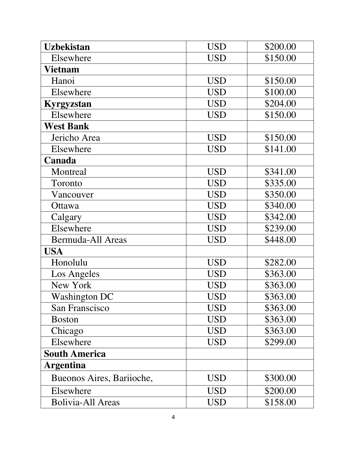| <b>Uzbekistan</b>         | <b>USD</b> | \$200.00 |
|---------------------------|------------|----------|
| Elsewhere                 | <b>USD</b> | \$150.00 |
| <b>Vietnam</b>            |            |          |
| Hanoi                     | <b>USD</b> | \$150.00 |
| Elsewhere                 | <b>USD</b> | \$100.00 |
| Kyrgyzstan                | <b>USD</b> | \$204.00 |
| Elsewhere                 | <b>USD</b> | \$150.00 |
| <b>West Bank</b>          |            |          |
| Jericho Area              | <b>USD</b> | \$150.00 |
| Elsewhere                 | <b>USD</b> | \$141.00 |
| Canada                    |            |          |
| Montreal                  | <b>USD</b> | \$341.00 |
| Toronto                   | <b>USD</b> | \$335.00 |
| Vancouver                 | <b>USD</b> | \$350.00 |
| Ottawa                    | <b>USD</b> | \$340.00 |
| Calgary                   | <b>USD</b> | \$342.00 |
| Elsewhere                 | <b>USD</b> | \$239.00 |
| <b>Bermuda-All Areas</b>  | <b>USD</b> | \$448.00 |
| <b>USA</b>                |            |          |
| Honolulu                  | <b>USD</b> | \$282.00 |
| Los Angeles               | <b>USD</b> | \$363.00 |
| New York                  | <b>USD</b> | \$363.00 |
| <b>Washington DC</b>      | <b>USD</b> | \$363.00 |
| San Franscisco            | <b>USD</b> | \$363.00 |
| <b>Boston</b>             | USD        | \$363.00 |
| Chicago                   | <b>USD</b> | \$363.00 |
| Elsewhere                 | <b>USD</b> | \$299.00 |
| <b>South America</b>      |            |          |
| <b>Argentina</b>          |            |          |
| Bueonos Aires, Bariioche, | <b>USD</b> | \$300.00 |
| Elsewhere                 | <b>USD</b> | \$200.00 |
| <b>Bolivia-All Areas</b>  | <b>USD</b> | \$158.00 |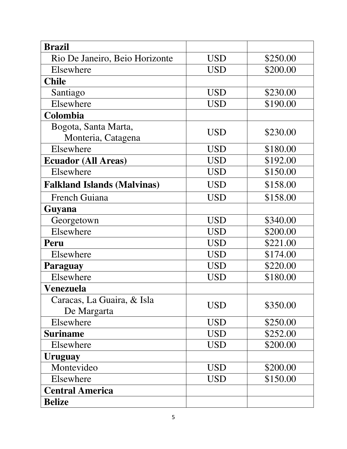| <b>Brazil</b>                      |            |          |
|------------------------------------|------------|----------|
| Rio De Janeiro, Beio Horizonte     | <b>USD</b> | \$250.00 |
| Elsewhere                          | <b>USD</b> | \$200.00 |
| <b>Chile</b>                       |            |          |
| Santiago                           | <b>USD</b> | \$230.00 |
| Elsewhere                          | <b>USD</b> | \$190.00 |
| Colombia                           |            |          |
| Bogota, Santa Marta,               | <b>USD</b> | \$230.00 |
| Monteria, Catagena                 |            |          |
| Elsewhere                          | <b>USD</b> | \$180.00 |
| <b>Ecuador (All Areas)</b>         | <b>USD</b> | \$192.00 |
| Elsewhere                          | <b>USD</b> | \$150.00 |
| <b>Falkland Islands (Malvinas)</b> | <b>USD</b> | \$158.00 |
| <b>French Guiana</b>               | <b>USD</b> | \$158.00 |
| Guyana                             |            |          |
| Georgetown                         | <b>USD</b> | \$340.00 |
| Elsewhere                          | <b>USD</b> | \$200.00 |
| Peru                               | <b>USD</b> | \$221.00 |
| Elsewhere                          | <b>USD</b> | \$174.00 |
| Paraguay                           | <b>USD</b> | \$220.00 |
| Elsewhere                          | USD        | \$180.00 |
| Venezuela                          |            |          |
| Caracas, La Guaira, & Isla         | <b>USD</b> | \$350.00 |
| De Margarta                        |            |          |
| Elsewhere                          | <b>USD</b> | \$250.00 |
| <b>Suriname</b>                    | <b>USD</b> | \$252.00 |
| Elsewhere                          | <b>USD</b> | \$200.00 |
| <b>Uruguay</b>                     |            |          |
| Montevideo                         | <b>USD</b> | \$200.00 |
| Elsewhere                          | USD        | \$150.00 |
| <b>Central America</b>             |            |          |
| <b>Belize</b>                      |            |          |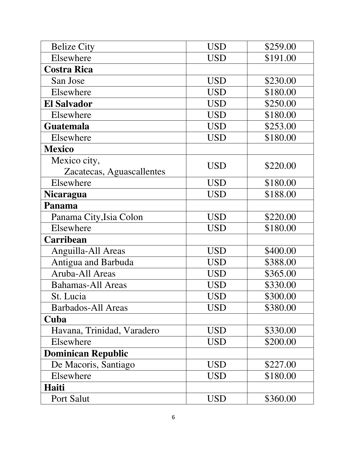| <b>Belize City</b>         | <b>USD</b> | \$259.00 |
|----------------------------|------------|----------|
| Elsewhere                  | <b>USD</b> | \$191.00 |
| <b>Costra Rica</b>         |            |          |
| San Jose                   | <b>USD</b> | \$230.00 |
| Elsewhere                  | <b>USD</b> | \$180.00 |
| <b>El Salvador</b>         | <b>USD</b> | \$250.00 |
| Elsewhere                  | <b>USD</b> | \$180.00 |
| <b>Guatemala</b>           | <b>USD</b> | \$253.00 |
| Elsewhere                  | <b>USD</b> | \$180.00 |
| <b>Mexico</b>              |            |          |
| Mexico city,               | <b>USD</b> | \$220.00 |
| Zacatecas, Aguascallentes  |            |          |
| Elsewhere                  | <b>USD</b> | \$180.00 |
| <b>Nicaragua</b>           | <b>USD</b> | \$188.00 |
| Panama                     |            |          |
| Panama City, Isia Colon    | <b>USD</b> | \$220.00 |
| Elsewhere                  | <b>USD</b> | \$180.00 |
| Carribean                  |            |          |
| Anguilla-All Areas         | <b>USD</b> | \$400.00 |
| Antigua and Barbuda        | <b>USD</b> | \$388.00 |
| Aruba-All Areas            | <b>USD</b> | \$365.00 |
| <b>Bahamas-All Areas</b>   | <b>USD</b> | \$330.00 |
| St. Lucia                  | <b>USD</b> | \$300.00 |
| <b>Barbados-All Areas</b>  | <b>USD</b> | \$380.00 |
| Cuba                       |            |          |
| Havana, Trinidad, Varadero | <b>USD</b> | \$330.00 |
| Elsewhere                  | <b>USD</b> | \$200.00 |
| <b>Dominican Republic</b>  |            |          |
| De Macoris, Santiago       | <b>USD</b> | \$227.00 |
| Elsewhere                  | USD        | \$180.00 |
| Haiti                      |            |          |
| Port Salut                 | <b>USD</b> | \$360.00 |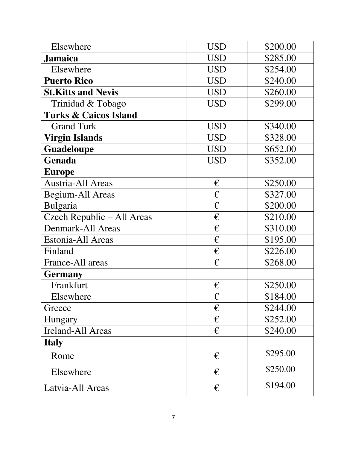| Elsewhere                        | <b>USD</b> | \$200.00 |
|----------------------------------|------------|----------|
| <b>Jamaica</b>                   | <b>USD</b> | \$285.00 |
| Elsewhere                        | <b>USD</b> | \$254.00 |
| <b>Puerto Rico</b>               | <b>USD</b> | \$240.00 |
| <b>St.Kitts and Nevis</b>        | <b>USD</b> | \$260.00 |
| Trinidad & Tobago                | <b>USD</b> | \$299.00 |
| <b>Turks &amp; Caicos Island</b> |            |          |
| <b>Grand Turk</b>                | <b>USD</b> | \$340.00 |
| <b>Virgin Islands</b>            | <b>USD</b> | \$328.00 |
| Guadeloupe                       | <b>USD</b> | \$652.00 |
| Genada                           | <b>USD</b> | \$352.00 |
| <b>Europe</b>                    |            |          |
| Austria-All Areas                | €          | \$250.00 |
| Begium-All Areas                 | €          | \$327.00 |
| Bulgaria                         | €          | \$200.00 |
| Czech Republic - All Areas       | €          | \$210.00 |
| Denmark-All Areas                | €          | \$310.00 |
| Estonia-All Areas                | €          | \$195.00 |
| Finland                          | €          | \$226.00 |
| France-All areas                 | €          | \$268.00 |
| <b>Germany</b>                   |            |          |
| Frankfurt                        | €          | \$250.00 |
| Elsewhere                        | €          | \$184.00 |
| Greece                           | €          | \$244.00 |
| Hungary                          | €          | \$252.00 |
| <b>Ireland-All Areas</b>         | $\epsilon$ | \$240.00 |
| <b>Italy</b>                     |            |          |
| Rome                             | €          | \$295.00 |
| Elsewhere                        | €          | \$250.00 |
| Latvia-All Areas                 | €          | \$194.00 |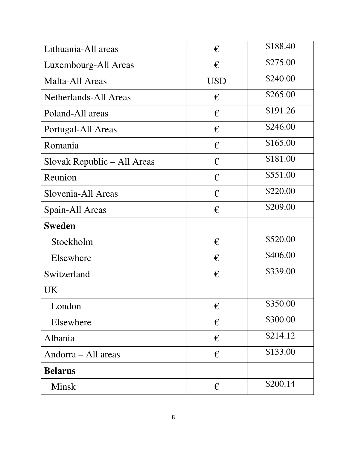| Lithuania-All areas          | €          | \$188.40 |
|------------------------------|------------|----------|
| Luxembourg-All Areas         | €          | \$275.00 |
| Malta-All Areas              | <b>USD</b> | \$240.00 |
| <b>Netherlands-All Areas</b> | €          | \$265.00 |
| Poland-All areas             | €          | \$191.26 |
| Portugal-All Areas           | €          | \$246.00 |
| Romania                      | €          | \$165.00 |
| Slovak Republic – All Areas  | €          | \$181.00 |
| Reunion                      | $\epsilon$ | \$551.00 |
| Slovenia-All Areas           | €          | \$220.00 |
| Spain-All Areas              | $\epsilon$ | \$209.00 |
| <b>Sweden</b>                |            |          |
| Stockholm                    | €          | \$520.00 |
| Elsewhere                    | €          | \$406.00 |
| Switzerland                  | €          | \$339.00 |
| UK                           |            |          |
| London                       | $\epsilon$ | \$350.00 |
| Elsewhere                    | €          | \$300.00 |
|                              |            |          |
| Albania                      | $\epsilon$ | \$214.12 |
| Andorra – All areas          | €          | \$133.00 |
| <b>Belarus</b>               |            |          |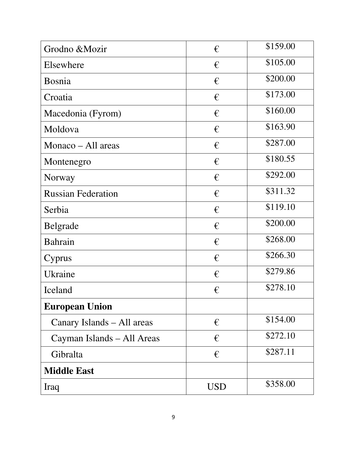| Grodno &Mozir              | €          | \$159.00 |
|----------------------------|------------|----------|
| Elsewhere                  | €          | \$105.00 |
| <b>Bosnia</b>              | €          | \$200.00 |
| Croatia                    | €          | \$173.00 |
| Macedonia (Fyrom)          | €          | \$160.00 |
| Moldova                    | €          | \$163.90 |
| Monaco – All areas         | €          | \$287.00 |
| Montenegro                 | €          | \$180.55 |
| Norway                     | €          | \$292.00 |
| <b>Russian Federation</b>  | €          | \$311.32 |
| Serbia                     | €          | \$119.10 |
| <b>Belgrade</b>            | €          | \$200.00 |
| <b>Bahrain</b>             | €          | \$268.00 |
| Cyprus                     | $\epsilon$ | \$266.30 |
| Ukraine                    | €          | \$279.86 |
| Iceland                    | €          | \$278.10 |
| <b>European Union</b>      |            |          |
| Canary Islands - All areas | €          | \$154.00 |
| Cayman Islands – All Areas | €          | \$272.10 |
| Gibralta                   | €          | \$287.11 |
| <b>Middle East</b>         |            |          |
| Iraq                       | <b>USD</b> | \$358.00 |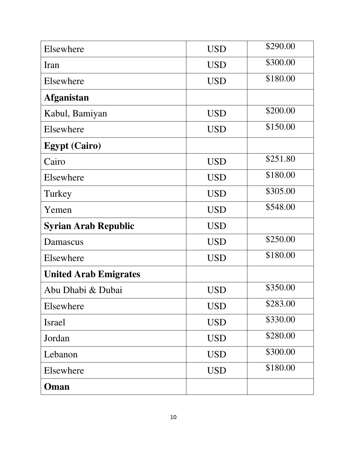| Elsewhere                    | <b>USD</b> | \$290.00 |
|------------------------------|------------|----------|
| Iran                         | <b>USD</b> | \$300.00 |
| Elsewhere                    | <b>USD</b> | \$180.00 |
| <b>Afganistan</b>            |            |          |
| Kabul, Bamiyan               | <b>USD</b> | \$200.00 |
| Elsewhere                    | <b>USD</b> | \$150.00 |
| <b>Egypt (Cairo)</b>         |            |          |
| Cairo                        | <b>USD</b> | \$251.80 |
| Elsewhere                    | <b>USD</b> | \$180.00 |
| Turkey                       | <b>USD</b> | \$305.00 |
| Yemen                        | <b>USD</b> | \$548.00 |
| <b>Syrian Arab Republic</b>  | <b>USD</b> |          |
| Damascus                     | <b>USD</b> | \$250.00 |
| Elsewhere                    | <b>USD</b> | \$180.00 |
| <b>United Arab Emigrates</b> |            |          |
| Abu Dhabi & Dubai            | USD        | \$350.00 |
| Elsewhere                    | <b>USD</b> | \$283.00 |
|                              |            |          |
| <b>Israel</b>                | <b>USD</b> | \$330.00 |
| Jordan                       | <b>USD</b> | \$280.00 |
| Lebanon                      | <b>USD</b> | \$300.00 |
| Elsewhere                    | <b>USD</b> | \$180.00 |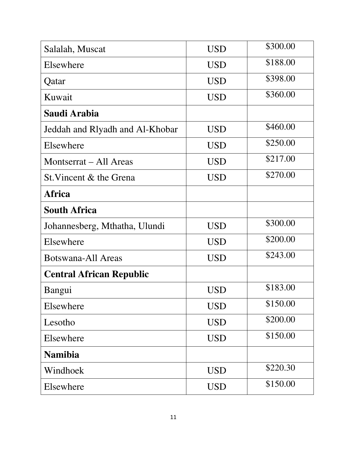| Salalah, Muscat                 | <b>USD</b> | \$300.00 |
|---------------------------------|------------|----------|
| Elsewhere                       | <b>USD</b> | \$188.00 |
| Qatar                           | <b>USD</b> | \$398.00 |
| Kuwait                          | <b>USD</b> | \$360.00 |
| Saudi Arabia                    |            |          |
| Jeddah and Rlyadh and Al-Khobar | <b>USD</b> | \$460.00 |
| Elsewhere                       | <b>USD</b> | \$250.00 |
| Montserrat – All Areas          | <b>USD</b> | \$217.00 |
| St. Vincent & the Grena         | <b>USD</b> | \$270.00 |
| Africa                          |            |          |
| <b>South Africa</b>             |            |          |
| Johannesberg, Mthatha, Ulundi   | <b>USD</b> | \$300.00 |
| Elsewhere                       | <b>USD</b> | \$200.00 |
| Botswana-All Areas              | <b>USD</b> | \$243.00 |
| <b>Central African Republic</b> |            |          |
| Bangui                          | USD        | \$183.00 |
| Elsewhere                       | <b>USD</b> | \$150.00 |
| Lesotho                         | <b>USD</b> | \$200.00 |
| Elsewhere                       | <b>USD</b> | \$150.00 |
| <b>Namibia</b>                  |            |          |
| Windhoek                        | <b>USD</b> | \$220.30 |
| Elsewhere                       | <b>USD</b> | \$150.00 |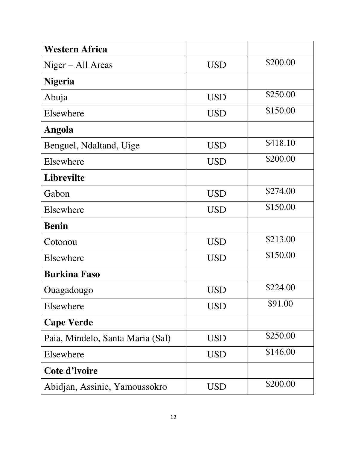| <b>Western Africa</b>            |            |          |
|----------------------------------|------------|----------|
| $Niger - All Areas$              | <b>USD</b> | \$200.00 |
| <b>Nigeria</b>                   |            |          |
| Abuja                            | <b>USD</b> | \$250.00 |
| Elsewhere                        | <b>USD</b> | \$150.00 |
| <b>Angola</b>                    |            |          |
| Benguel, Ndaltand, Uige          | <b>USD</b> | \$418.10 |
| Elsewhere                        | <b>USD</b> | \$200.00 |
| <b>Librevilte</b>                |            |          |
| Gabon                            | <b>USD</b> | \$274.00 |
| Elsewhere                        | <b>USD</b> | \$150.00 |
| <b>Benin</b>                     |            |          |
| Cotonou                          | <b>USD</b> | \$213.00 |
| Elsewhere                        | <b>USD</b> | \$150.00 |
| <b>Burkina Faso</b>              |            |          |
| Ouagadougo                       | USD        | \$224.00 |
| Elsewhere                        | <b>USD</b> | \$91.00  |
| <b>Cape Verde</b>                |            |          |
| Paia, Mindelo, Santa Maria (Sal) | USD        | \$250.00 |
| Elsewhere                        | USD        | \$146.00 |
| Cote d'Ivoire                    |            |          |
| Abidjan, Assinie, Yamoussokro    | <b>USD</b> | \$200.00 |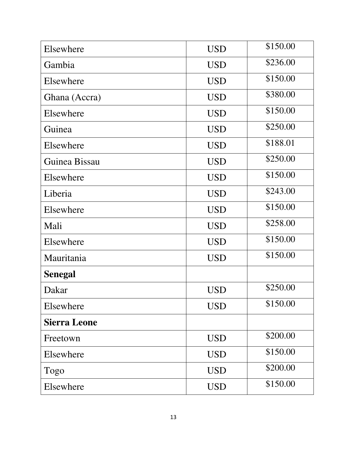| Elsewhere           | <b>USD</b> | \$150.00 |
|---------------------|------------|----------|
| Gambia              | <b>USD</b> | \$236.00 |
| Elsewhere           | <b>USD</b> | \$150.00 |
| Ghana (Accra)       | <b>USD</b> | \$380.00 |
| Elsewhere           | <b>USD</b> | \$150.00 |
| Guinea              | <b>USD</b> | \$250.00 |
| Elsewhere           | <b>USD</b> | \$188.01 |
| Guinea Bissau       | <b>USD</b> | \$250.00 |
| Elsewhere           | <b>USD</b> | \$150.00 |
| Liberia             | <b>USD</b> | \$243.00 |
| Elsewhere           | <b>USD</b> | \$150.00 |
| Mali                | <b>USD</b> | \$258.00 |
| Elsewhere           | <b>USD</b> | \$150.00 |
| Mauritania          | <b>USD</b> | \$150.00 |
| <b>Senegal</b>      |            |          |
| Dakar               | <b>USD</b> | \$250.00 |
| Elsewhere           | <b>USD</b> | \$150.00 |
| <b>Sierra Leone</b> |            |          |
| Freetown            | <b>USD</b> | \$200.00 |
| Elsewhere           | <b>USD</b> | \$150.00 |
| Togo                | <b>USD</b> | \$200.00 |
| Elsewhere           | <b>USD</b> | \$150.00 |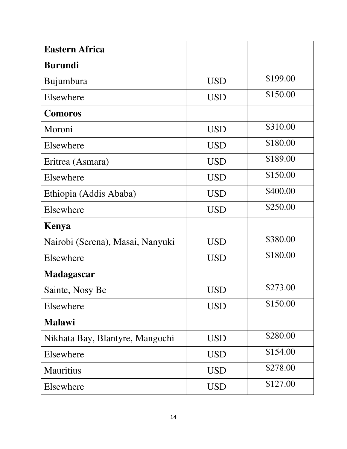| <b>Eastern Africa</b>            |            |          |
|----------------------------------|------------|----------|
| <b>Burundi</b>                   |            |          |
| Bujumbura                        | <b>USD</b> | \$199.00 |
| Elsewhere                        | <b>USD</b> | \$150.00 |
| <b>Comoros</b>                   |            |          |
| Moroni                           | <b>USD</b> | \$310.00 |
| Elsewhere                        | <b>USD</b> | \$180.00 |
| Eritrea (Asmara)                 | <b>USD</b> | \$189.00 |
| Elsewhere                        | <b>USD</b> | \$150.00 |
| Ethiopia (Addis Ababa)           | <b>USD</b> | \$400.00 |
| Elsewhere                        | <b>USD</b> | \$250.00 |
| Kenya                            |            |          |
| Nairobi (Serena), Masai, Nanyuki | <b>USD</b> | \$380.00 |
| Elsewhere                        | <b>USD</b> | \$180.00 |
| <b>Madagascar</b>                |            |          |
| Sainte, Nosy Be                  | USD        | \$273.00 |
| Elsewhere                        | <b>USD</b> | \$150.00 |
| <b>Malawi</b>                    |            |          |
| Nikhata Bay, Blantyre, Mangochi  | <b>USD</b> | \$280.00 |
| Elsewhere                        | <b>USD</b> | \$154.00 |
| <b>Mauritius</b>                 | <b>USD</b> | \$278.00 |
| Elsewhere                        | <b>USD</b> | \$127.00 |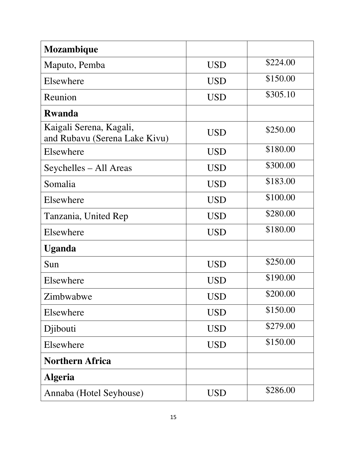| Mozambique                                               |            |          |
|----------------------------------------------------------|------------|----------|
| Maputo, Pemba                                            | <b>USD</b> | \$224.00 |
| Elsewhere                                                | <b>USD</b> | \$150.00 |
| Reunion                                                  | <b>USD</b> | \$305.10 |
| <b>Rwanda</b>                                            |            |          |
| Kaigali Serena, Kagali,<br>and Rubavu (Serena Lake Kivu) | <b>USD</b> | \$250.00 |
| Elsewhere                                                | <b>USD</b> | \$180.00 |
| Seychelles – All Areas                                   | <b>USD</b> | \$300.00 |
| Somalia                                                  | <b>USD</b> | \$183.00 |
| Elsewhere                                                | <b>USD</b> | \$100.00 |
| Tanzania, United Rep                                     | <b>USD</b> | \$280.00 |
| Elsewhere                                                | <b>USD</b> | \$180.00 |
| <b>Uganda</b>                                            |            |          |
| Sun                                                      | <b>USD</b> | \$250.00 |
| Elsewhere                                                | <b>USD</b> | \$190.00 |
| Zimbwabwe                                                | USD        | \$200.00 |
| Elsewhere                                                | <b>USD</b> | \$150.00 |
| Djibouti                                                 | <b>USD</b> | \$279.00 |
| Elsewhere                                                | <b>USD</b> | \$150.00 |
| <b>Northern Africa</b>                                   |            |          |
| <b>Algeria</b>                                           |            |          |
| Annaba (Hotel Seyhouse)                                  | <b>USD</b> | \$286.00 |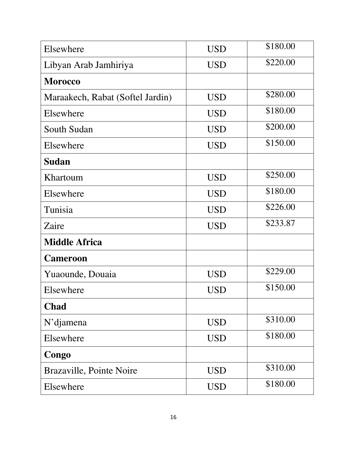| Elsewhere                        | <b>USD</b> | \$180.00 |
|----------------------------------|------------|----------|
| Libyan Arab Jamhiriya            | <b>USD</b> | \$220.00 |
| <b>Morocco</b>                   |            |          |
| Maraakech, Rabat (Softel Jardin) | <b>USD</b> | \$280.00 |
| Elsewhere                        | <b>USD</b> | \$180.00 |
| South Sudan                      | <b>USD</b> | \$200.00 |
| Elsewhere                        | <b>USD</b> | \$150.00 |
| <b>Sudan</b>                     |            |          |
| Khartoum                         | <b>USD</b> | \$250.00 |
| Elsewhere                        | <b>USD</b> | \$180.00 |
| Tunisia                          | <b>USD</b> | \$226.00 |
| Zaire                            | <b>USD</b> | \$233.87 |
| <b>Middle Africa</b>             |            |          |
| <b>Cameroon</b>                  |            |          |
| Yuaounde, Douaia                 | <b>USD</b> | \$229.00 |
| Elsewhere                        | USD        | \$150.00 |
| <b>Chad</b>                      |            |          |
| $N$ 'djamena                     | <b>USD</b> | \$310.00 |
| Elsewhere                        | <b>USD</b> | \$180.00 |
| Congo                            |            |          |
| Brazaville, Pointe Noire         | <b>USD</b> | \$310.00 |
| Elsewhere                        | <b>USD</b> | \$180.00 |